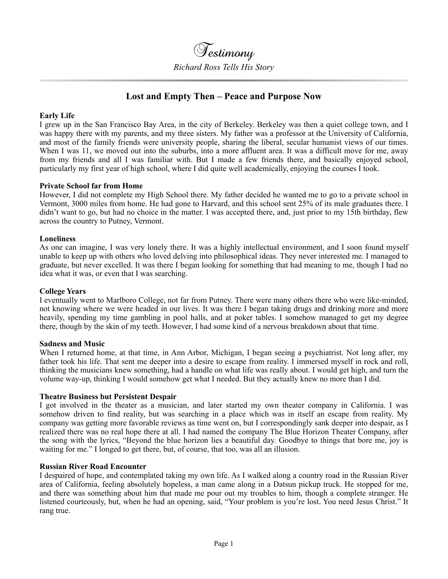**Testimony** *Richard Ross Tells His Story*

# **Lost and Empty Then – Peace and Purpose Now**

# **Early Life**

I grew up in the San Francisco Bay Area, in the city of Berkeley. Berkeley was then a quiet college town, and I was happy there with my parents, and my three sisters. My father was a professor at the University of California, and most of the family friends were university people, sharing the liberal, secular humanist views of our times. When I was 11, we moved out into the suburbs, into a more affluent area. It was a difficult move for me, away from my friends and all I was familiar with. But I made a few friends there, and basically enjoyed school, particularly my first year of high school, where I did quite well academically, enjoying the courses I took.

## **Private School far from Home**

However, I did not complete my High School there. My father decided he wanted me to go to a private school in Vermont, 3000 miles from home. He had gone to Harvard, and this school sent 25% of its male graduates there. I didn't want to go, but had no choice in the matter. I was accepted there, and, just prior to my 15th birthday, flew across the country to Putney, Vermont.

## **Loneliness**

As one can imagine, I was very lonely there. It was a highly intellectual environment, and I soon found myself unable to keep up with others who loved delving into philosophical ideas. They never interested me. I managed to graduate, but never excelled. It was there I began looking for something that had meaning to me, though I had no idea what it was, or even that I was searching.

#### **College Years**

I eventually went to Marlboro College, not far from Putney. There were many others there who were like-minded, not knowing where we were headed in our lives. It was there I began taking drugs and drinking more and more heavily, spending my time gambling in pool halls, and at poker tables. I somehow managed to get my degree there, though by the skin of my teeth. However, I had some kind of a nervous breakdown about that time.

#### **Sadness and Music**

When I returned home, at that time, in Ann Arbor, Michigan, I began seeing a psychiatrist. Not long after, my father took his life. That sent me deeper into a desire to escape from reality. I immersed myself in rock and roll, thinking the musicians knew something, had a handle on what life was really about. I would get high, and turn the volume way-up, thinking I would somehow get what I needed. But they actually knew no more than I did.

#### **Theatre Business but Persistent Despair**

I got involved in the theater as a musician, and later started my own theater company in California. I was somehow driven to find reality, but was searching in a place which was in itself an escape from reality. My company was getting more favorable reviews as time went on, but I correspondingly sank deeper into despair, as I realized there was no real hope there at all. I had named the company The Blue Horizon Theater Company, after the song with the lyrics, "Beyond the blue horizon lies a beautiful day. Goodbye to things that bore me, joy is waiting for me." I longed to get there, but, of course, that too, was all an illusion.

#### **Russian River Road Encounter**

I despaired of hope, and contemplated taking my own life. As I walked along a country road in the Russian River area of California, feeling absolutely hopeless, a man came along in a Datsun pickup truck. He stopped for me, and there was something about him that made me pour out my troubles to him, though a complete stranger. He listened courteously, but, when he had an opening, said, "Your problem is you're lost. You need Jesus Christ." It rang true.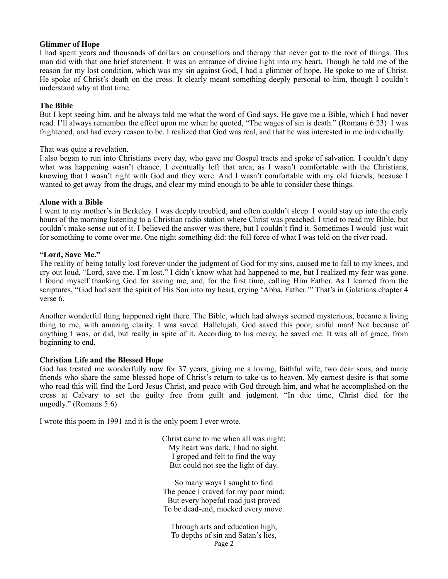## **Glimmer of Hope**

I had spent years and thousands of dollars on counsellors and therapy that never got to the root of things. This man did with that one brief statement. It was an entrance of divine light into my heart. Though he told me of the reason for my lost condition, which was my sin against God, I had a glimmer of hope. He spoke to me of Christ. He spoke of Christ's death on the cross. It clearly meant something deeply personal to him, though I couldn't understand why at that time.

## **The Bible**

But I kept seeing him, and he always told me what the word of God says. He gave me a Bible, which I had never read. I'll always remember the effect upon me when he quoted, "The wages of sin is death." (Romans 6:23) I was frightened, and had every reason to be. I realized that God was real, and that he was interested in me individually.

## That was quite a revelation.

I also began to run into Christians every day, who gave me Gospel tracts and spoke of salvation. I couldn't deny what was happening wasn't chance. I eventually left that area, as I wasn't comfortable with the Christians, knowing that I wasn't right with God and they were. And I wasn't comfortable with my old friends, because I wanted to get away from the drugs, and clear my mind enough to be able to consider these things.

## **Alone with a Bible**

I went to my mother's in Berkeley. I was deeply troubled, and often couldn't sleep. I would stay up into the early hours of the morning listening to a Christian radio station where Christ was preached. I tried to read my Bible, but couldn't make sense out of it. I believed the answer was there, but I couldn't find it. Sometimes I would just wait for something to come over me. One night something did: the full force of what I was told on the river road.

## **"Lord, Save Me."**

The reality of being totally lost forever under the judgment of God for my sins, caused me to fall to my knees, and cry out loud, "Lord, save me. I'm lost." I didn't know what had happened to me, but I realized my fear was gone. I found myself thanking God for saving me, and, for the first time, calling Him Father. As I learned from the scriptures, "God had sent the spirit of His Son into my heart, crying 'Abba, Father." That's in Galatians chapter 4 verse 6.

Another wonderful thing happened right there. The Bible, which had always seemed mysterious, became a living thing to me, with amazing clarity. I was saved. Hallelujah, God saved this poor, sinful man! Not because of anything I was, or did, but really in spite of it. According to his mercy, he saved me. It was all of grace, from beginning to end.

# **Christian Life and the Blessed Hope**

God has treated me wonderfully now for 37 years, giving me a loving, faithful wife, two dear sons, and many friends who share the same blessed hope of Christ's return to take us to heaven. My earnest desire is that some who read this will find the Lord Jesus Christ, and peace with God through him, and what he accomplished on the cross at Calvary to set the guilty free from guilt and judgment. "In due time, Christ died for the ungodly." (Romans 5:6)

I wrote this poem in 1991 and it is the only poem I ever wrote.

Christ came to me when all was night; My heart was dark, I had no sight. I groped and felt to find the way But could not see the light of day.

So many ways I sought to find The peace I craved for my poor mind; But every hopeful road just proved To be dead-end, mocked every move.

Through arts and education high, To depths of sin and Satan's lies, Page 2